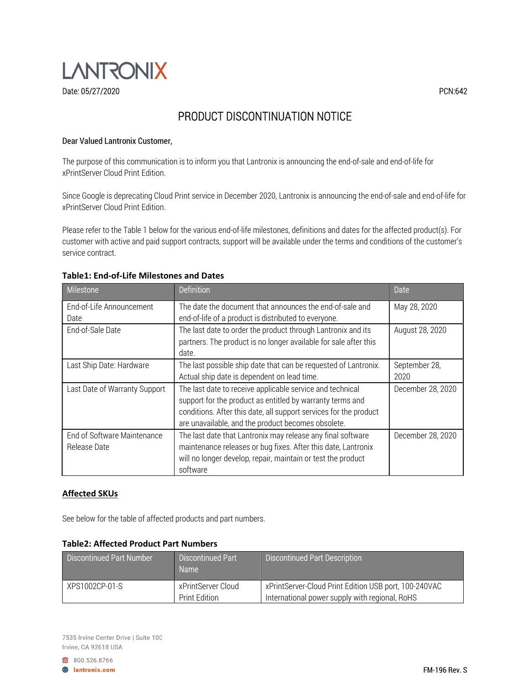

# PRODUCT DISCONTINUATION NOTICE

### Dear Valued Lantronix Customer,

The purpose of this communication is to inform you that Lantronix is announcing the end-of-sale and end-of-life for xPrintServer Cloud Print Edition.

Since Google is deprecating Cloud Print service in December 2020, Lantronix is announcing the end-of-sale and end-of-life for xPrintServer Cloud Print Edition.

Please refer to the Table 1 below for the various end-of-life milestones, definitions and dates for the affected product(s). For customer with active and paid support contracts, support will be available under the terms and conditions of the customer's service contract.

| Milestone                                   | <b>Definition</b>                                                                                                                                                                                                                                 | Date                  |
|---------------------------------------------|---------------------------------------------------------------------------------------------------------------------------------------------------------------------------------------------------------------------------------------------------|-----------------------|
| End-of-Life Announcement<br>Date            | The date the document that announces the end-of-sale and<br>end-of-life of a product is distributed to everyone.                                                                                                                                  | May 28, 2020          |
| End-of-Sale Date                            | The last date to order the product through Lantronix and its<br>partners. The product is no longer available for sale after this<br>date.                                                                                                         | August 28, 2020       |
| Last Ship Date: Hardware                    | The last possible ship date that can be requested of Lantronix.<br>Actual ship date is dependent on lead time.                                                                                                                                    | September 28,<br>2020 |
| Last Date of Warranty Support               | The last date to receive applicable service and technical<br>support for the product as entitled by warranty terms and<br>conditions. After this date, all support services for the product<br>are unavailable, and the product becomes obsolete. | December 28, 2020     |
| End of Software Maintenance<br>Release Date | The last date that Lantronix may release any final software<br>maintenance releases or bug fixes. After this date, Lantronix<br>will no longer develop, repair, maintain or test the product<br>software                                          | December 28, 2020     |

### Table1: End-of-Life Milestones and Dates

## Affected SKUs

See below for the table of affected products and part numbers.

#### Table2: Affected Product Part Numbers

| <b>Discontinued Part Number</b> | <b>Discontinued Part</b><br><b>Name</b> | <b>Discontinued Part Description</b>                                                                    |
|---------------------------------|-----------------------------------------|---------------------------------------------------------------------------------------------------------|
| XPS1002CP-01-S                  | xPrintServer Cloud<br>Print Edition     | xPrintServer-Cloud Print Edition USB port, 100-240VAC<br>International power supply with regional, RoHS |

7535 Irvine Center Drive | Suite 100 Irvine, CA 92618 USA

800.526.8766